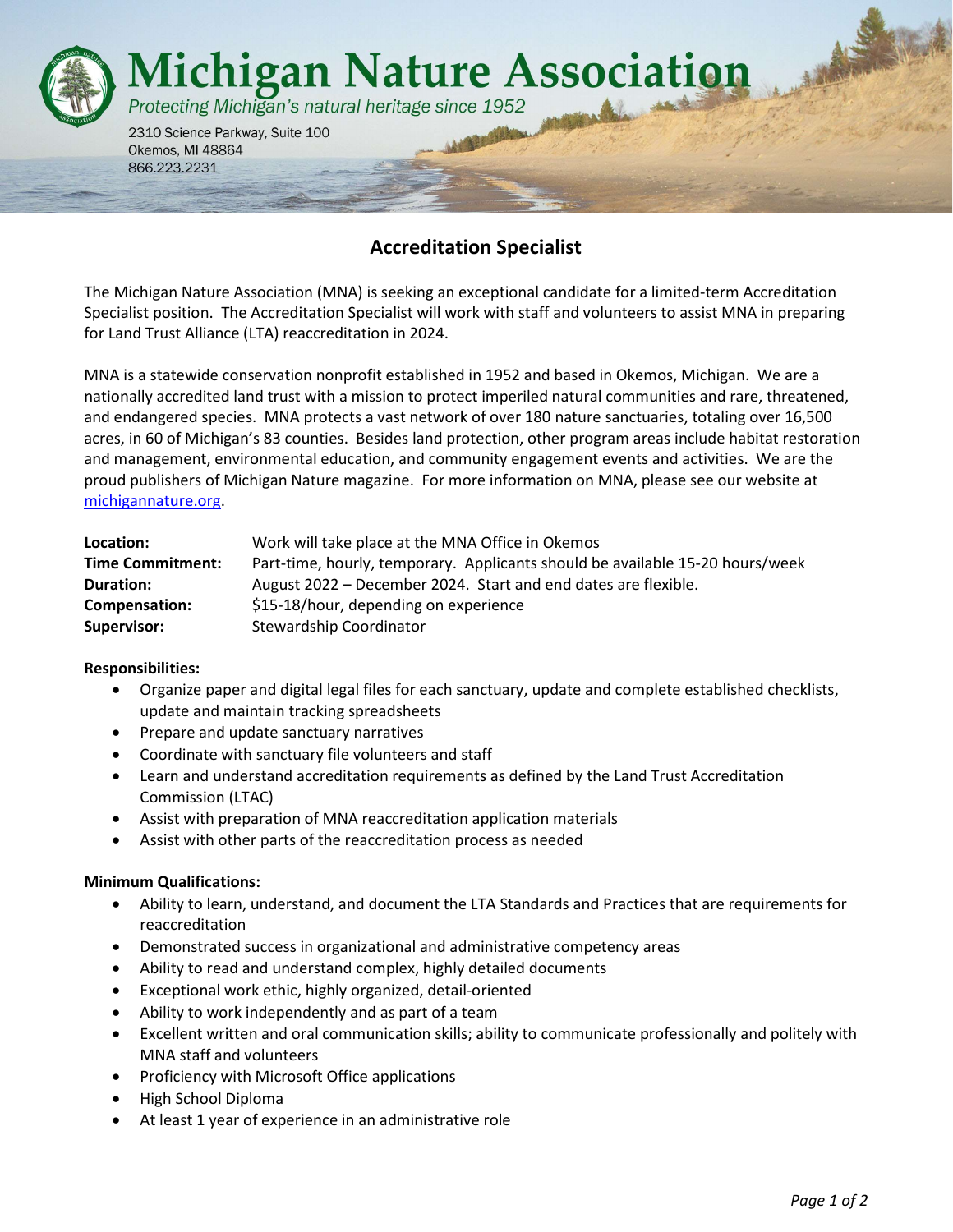

# Accreditation Specialist

The Michigan Nature Association (MNA) is seeking an exceptional candidate for a limited-term Accreditation Specialist position. The Accreditation Specialist will work with staff and volunteers to assist MNA in preparing for Land Trust Alliance (LTA) reaccreditation in 2024.

MNA is a statewide conservation nonprofit established in 1952 and based in Okemos, Michigan. We are a nationally accredited land trust with a mission to protect imperiled natural communities and rare, threatened, and endangered species. MNA protects a vast network of over 180 nature sanctuaries, totaling over 16,500 acres, in 60 of Michigan's 83 counties. Besides land protection, other program areas include habitat restoration and management, environmental education, and community engagement events and activities. We are the proud publishers of Michigan Nature magazine. For more information on MNA, please see our website at michigannature.org.

| Location:               | Work will take place at the MNA Office in Okemos                              |
|-------------------------|-------------------------------------------------------------------------------|
| <b>Time Commitment:</b> | Part-time, hourly, temporary. Applicants should be available 15-20 hours/week |
| <b>Duration:</b>        | August 2022 – December 2024. Start and end dates are flexible.                |
| Compensation:           | \$15-18/hour, depending on experience                                         |
| Supervisor:             | Stewardship Coordinator                                                       |

### Responsibilities:

- Organize paper and digital legal files for each sanctuary, update and complete established checklists, update and maintain tracking spreadsheets
- Prepare and update sanctuary narratives
- Coordinate with sanctuary file volunteers and staff
- Learn and understand accreditation requirements as defined by the Land Trust Accreditation Commission (LTAC)
- Assist with preparation of MNA reaccreditation application materials
- Assist with other parts of the reaccreditation process as needed

### Minimum Qualifications:

- Ability to learn, understand, and document the LTA Standards and Practices that are requirements for reaccreditation
- Demonstrated success in organizational and administrative competency areas
- Ability to read and understand complex, highly detailed documents
- Exceptional work ethic, highly organized, detail-oriented
- Ability to work independently and as part of a team
- Excellent written and oral communication skills; ability to communicate professionally and politely with MNA staff and volunteers
- Proficiency with Microsoft Office applications
- High School Diploma
- At least 1 year of experience in an administrative role